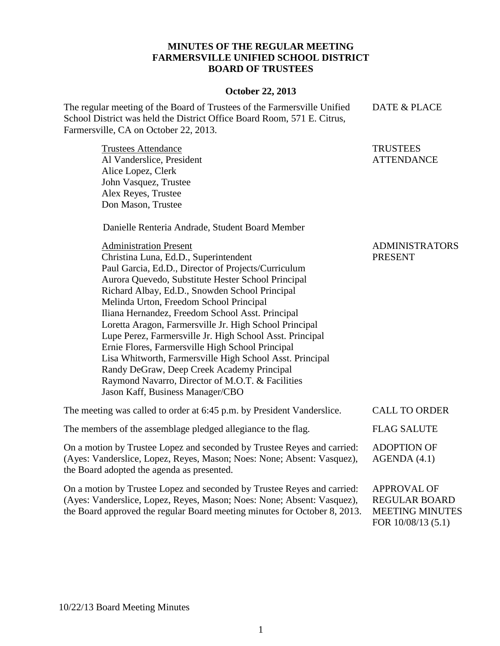## **MINUTES OF THE REGULAR MEETING FARMERSVILLE UNIFIED SCHOOL DISTRICT BOARD OF TRUSTEES**

## **October 22, 2013**

The regular meeting of the Board of Trustees of the Farmersville Unified School District was held the District Office Board Room, 571 E. Citrus, Farmersville, CA on October 22, 2013. DATE & PLACE

Trustees Attendance Al Vanderslice, President Alice Lopez, Clerk John Vasquez, Trustee Alex Reyes, Trustee Don Mason, Trustee **TRUSTEES ATTENDANCE** 

Danielle Renteria Andrade, Student Board Member

| <b>Administration Present</b>                                           | <b>ADMINISTRATORS</b> |
|-------------------------------------------------------------------------|-----------------------|
| Christina Luna, Ed.D., Superintendent                                   | <b>PRESENT</b>        |
| Paul Garcia, Ed.D., Director of Projects/Curriculum                     |                       |
| Aurora Quevedo, Substitute Hester School Principal                      |                       |
| Richard Albay, Ed.D., Snowden School Principal                          |                       |
| Melinda Urton, Freedom School Principal                                 |                       |
| Iliana Hernandez, Freedom School Asst. Principal                        |                       |
| Loretta Aragon, Farmersville Jr. High School Principal                  |                       |
| Lupe Perez, Farmersville Jr. High School Asst. Principal                |                       |
| Ernie Flores, Farmersville High School Principal                        |                       |
| Lisa Whitworth, Farmersville High School Asst. Principal                |                       |
| Randy DeGraw, Deep Creek Academy Principal                              |                       |
| Raymond Navarro, Director of M.O.T. & Facilities                        |                       |
| Jason Kaff, Business Manager/CBO                                        |                       |
| The meeting was called to order at 6:45 p.m. by President Vanderslice.  | <b>CALL TO ORDER</b>  |
| The members of the assemblage pledged allegiance to the flag.           | <b>FLAG SALUTE</b>    |
| On a motion by Trustee Lopez and seconded by Trustee Reyes and carried: | <b>ADOPTION OF</b>    |
| (Ayes: Vanderslice, Lopez, Reyes, Mason; Noes: None; Absent: Vasquez),  | AGENDA(4.1)           |
| the Board adopted the agenda as presented.                              |                       |
| On a motion by Trustee Lopez and seconded by Trustee Reyes and carried: | <b>APPROVAL OF</b>    |
| $(A_{VQQ}, V_{QQ})$                                                     | DECIII AD DOADD       |

(Ayes: Vanderslice, Lopez, Reyes, Mason; Noes: None; Absent: Vasquez), the Board approved the regular Board meeting minutes for October 8, 2013. REGULAR BOARD MEETING MINUTES FOR 10/08/13 (5.1)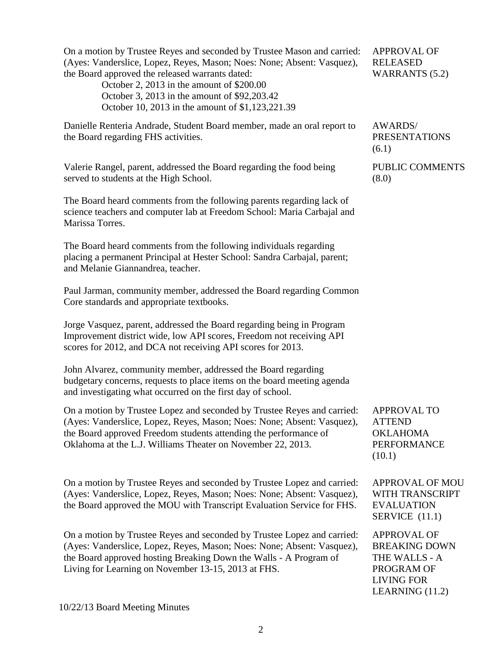On a motion by Trustee Reyes and seconded by Trustee Mason and carried: (Ayes: Vanderslice, Lopez, Reyes, Mason; Noes: None; Absent: Vasquez), the Board approved the released warrants dated: October 2, 2013 in the amount of \$200.00 October 3, 2013 in the amount of \$92,203.42 October 10, 2013 in the amount of \$1,123,221.39 APPROVAL OF RELEASED WARRANTS (5.2) Danielle Renteria Andrade, Student Board member, made an oral report to the Board regarding FHS activities. AWARDS/ PRESENTATIONS (6.1) Valerie Rangel, parent, addressed the Board regarding the food being served to students at the High School. The Board heard comments from the following parents regarding lack of science teachers and computer lab at Freedom School: Maria Carbajal and Marissa Torres. The Board heard comments from the following individuals regarding placing a permanent Principal at Hester School: Sandra Carbajal, parent; and Melanie Giannandrea, teacher. Paul Jarman, community member, addressed the Board regarding Common Core standards and appropriate textbooks. Jorge Vasquez, parent, addressed the Board regarding being in Program Improvement district wide, low API scores, Freedom not receiving API scores for 2012, and DCA not receiving API scores for 2013. John Alvarez, community member, addressed the Board regarding budgetary concerns, requests to place items on the board meeting agenda and investigating what occurred on the first day of school. PUBLIC COMMENTS (8.0) On a motion by Trustee Lopez and seconded by Trustee Reyes and carried: (Ayes: Vanderslice, Lopez, Reyes, Mason; Noes: None; Absent: Vasquez), the Board approved Freedom students attending the performance of Oklahoma at the L.J. Williams Theater on November 22, 2013. APPROVAL TO ATTEND OKLAHOMA PERFORMANCE (10.1) On a motion by Trustee Reyes and seconded by Trustee Lopez and carried: (Ayes: Vanderslice, Lopez, Reyes, Mason; Noes: None; Absent: Vasquez), the Board approved the MOU with Transcript Evaluation Service for FHS. APPROVAL OF MOU WITH TRANSCRIPT EVALUATION SERVICE (11.1) On a motion by Trustee Reyes and seconded by Trustee Lopez and carried: (Ayes: Vanderslice, Lopez, Reyes, Mason; Noes: None; Absent: Vasquez), the Board approved hosting Breaking Down the Walls - A Program of Living for Learning on November 13-15, 2013 at FHS. APPROVAL OF BREAKING DOWN THE WALLS - A PROGRAM OF LIVING FOR LEARNING (11.2)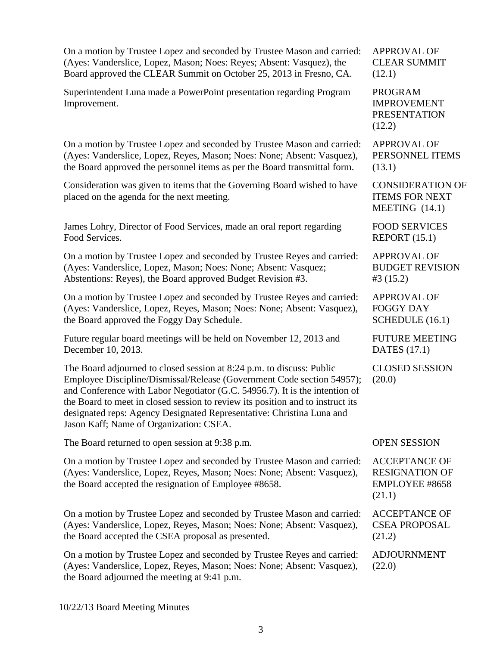| On a motion by Trustee Lopez and seconded by Trustee Mason and carried:                                                                                                                                                                                                                                                                                                                                                              | <b>APPROVAL OF</b>                                                        |
|--------------------------------------------------------------------------------------------------------------------------------------------------------------------------------------------------------------------------------------------------------------------------------------------------------------------------------------------------------------------------------------------------------------------------------------|---------------------------------------------------------------------------|
| (Ayes: Vanderslice, Lopez, Mason; Noes: Reyes; Absent: Vasquez), the                                                                                                                                                                                                                                                                                                                                                                 | <b>CLEAR SUMMIT</b>                                                       |
| Board approved the CLEAR Summit on October 25, 2013 in Fresno, CA.                                                                                                                                                                                                                                                                                                                                                                   | (12.1)                                                                    |
| Superintendent Luna made a PowerPoint presentation regarding Program<br>Improvement.                                                                                                                                                                                                                                                                                                                                                 | <b>PROGRAM</b><br><b>IMPROVEMENT</b><br><b>PRESENTATION</b><br>(12.2)     |
| On a motion by Trustee Lopez and seconded by Trustee Mason and carried:                                                                                                                                                                                                                                                                                                                                                              | <b>APPROVAL OF</b>                                                        |
| (Ayes: Vanderslice, Lopez, Reyes, Mason; Noes: None; Absent: Vasquez),                                                                                                                                                                                                                                                                                                                                                               | PERSONNEL ITEMS                                                           |
| the Board approved the personnel items as per the Board transmittal form.                                                                                                                                                                                                                                                                                                                                                            | (13.1)                                                                    |
| Consideration was given to items that the Governing Board wished to have<br>placed on the agenda for the next meeting.                                                                                                                                                                                                                                                                                                               | <b>CONSIDERATION OF</b><br><b>ITEMS FOR NEXT</b><br>MEETING $(14.1)$      |
| James Lohry, Director of Food Services, made an oral report regarding                                                                                                                                                                                                                                                                                                                                                                | <b>FOOD SERVICES</b>                                                      |
| Food Services.                                                                                                                                                                                                                                                                                                                                                                                                                       | REPORT (15.1)                                                             |
| On a motion by Trustee Lopez and seconded by Trustee Reyes and carried:                                                                                                                                                                                                                                                                                                                                                              | <b>APPROVAL OF</b>                                                        |
| (Ayes: Vanderslice, Lopez, Mason; Noes: None; Absent: Vasquez;                                                                                                                                                                                                                                                                                                                                                                       | <b>BUDGET REVISION</b>                                                    |
| Abstentions: Reyes), the Board approved Budget Revision #3.                                                                                                                                                                                                                                                                                                                                                                          | #3(15.2)                                                                  |
| On a motion by Trustee Lopez and seconded by Trustee Reyes and carried:                                                                                                                                                                                                                                                                                                                                                              | <b>APPROVAL OF</b>                                                        |
| (Ayes: Vanderslice, Lopez, Reyes, Mason; Noes: None; Absent: Vasquez),                                                                                                                                                                                                                                                                                                                                                               | <b>FOGGY DAY</b>                                                          |
| the Board approved the Foggy Day Schedule.                                                                                                                                                                                                                                                                                                                                                                                           | SCHEDULE (16.1)                                                           |
| Future regular board meetings will be held on November 12, 2013 and                                                                                                                                                                                                                                                                                                                                                                  | <b>FUTURE MEETING</b>                                                     |
| December 10, 2013.                                                                                                                                                                                                                                                                                                                                                                                                                   | <b>DATES</b> (17.1)                                                       |
| The Board adjourned to closed session at 8:24 p.m. to discuss: Public<br>Employee Discipline/Dismissal/Release (Government Code section 54957);<br>and Conference with Labor Negotiator (G.C. 54956.7). It is the intention of<br>the Board to meet in closed session to review its position and to instruct its<br>designated reps: Agency Designated Representative: Christina Luna and<br>Jason Kaff; Name of Organization: CSEA. | <b>CLOSED SESSION</b><br>(20.0)                                           |
| The Board returned to open session at 9:38 p.m.                                                                                                                                                                                                                                                                                                                                                                                      | <b>OPEN SESSION</b>                                                       |
| On a motion by Trustee Lopez and seconded by Trustee Mason and carried:<br>(Ayes: Vanderslice, Lopez, Reyes, Mason; Noes: None; Absent: Vasquez),<br>the Board accepted the resignation of Employee #8658.                                                                                                                                                                                                                           | <b>ACCEPTANCE OF</b><br><b>RESIGNATION OF</b><br>EMPLOYEE #8658<br>(21.1) |
| On a motion by Trustee Lopez and seconded by Trustee Mason and carried:                                                                                                                                                                                                                                                                                                                                                              | <b>ACCEPTANCE OF</b>                                                      |
| (Ayes: Vanderslice, Lopez, Reyes, Mason; Noes: None; Absent: Vasquez),                                                                                                                                                                                                                                                                                                                                                               | <b>CSEA PROPOSAL</b>                                                      |
| the Board accepted the CSEA proposal as presented.                                                                                                                                                                                                                                                                                                                                                                                   | (21.2)                                                                    |
| On a motion by Trustee Lopez and seconded by Trustee Reyes and carried:<br>(Ayes: Vanderslice, Lopez, Reyes, Mason; Noes: None; Absent: Vasquez),<br>the Board adjourned the meeting at 9:41 p.m.                                                                                                                                                                                                                                    | <b>ADJOURNMENT</b><br>(22.0)                                              |

10/22/13 Board Meeting Minutes